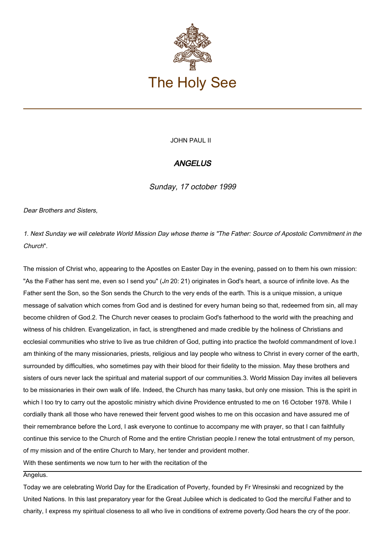

JOHN PAUL II

## **ANGELUS**

Sunday, 17 october 1999

Dear Brothers and Sisters,

1. Next Sunday we will celebrate World Mission Day whose theme is "The Father: Source of Apostolic Commitment in the Church".

The mission of Christ who, appearing to the Apostles on Easter Day in the evening, passed on to them his own mission: "As the Father has sent me, even so I send you"  $(Jn 20: 21)$  originates in God's heart, a source of infinite love. As the Father sent the Son, so the Son sends the Church to the very ends of the earth. This is a unique mission, a unique message of salvation which comes from God and is destined for every human being so that, redeemed from sin, all may become children of God.2. The Church never ceases to proclaim God's fatherhood to the world with the preaching and witness of his children. Evangelization, in fact, is strengthened and made credible by the holiness of Christians and ecclesial communities who strive to live as true children of God, putting into practice the twofold commandment of love.I am thinking of the many missionaries, priests, religious and lay people who witness to Christ in every corner of the earth, surrounded by difficulties, who sometimes pay with their blood for their fidelity to the mission. May these brothers and sisters of ours never lack the spiritual and material support of our communities.3. World Mission Day invites all believers to be missionaries in their own walk of life. Indeed, the Church has many tasks, but only one mission. This is the spirit in which I too try to carry out the apostolic ministry which divine Providence entrusted to me on 16 October 1978. While I cordially thank all those who have renewed their fervent good wishes to me on this occasion and have assured me of their remembrance before the Lord, I ask everyone to continue to accompany me with prayer, so that I can faithfully continue this service to the Church of Rome and the entire Christian people.I renew the total entrustment of my person, of my mission and of the entire Church to Mary, her tender and provident mother.

With these sentiments we now turn to her with the recitation of the

Angelus.

Today we are celebrating World Day for the Eradication of Poverty, founded by Fr Wresinski and recognized by the United Nations. In this last preparatory year for the Great Jubilee which is dedicated to God the merciful Father and to charity, I express my spiritual closeness to all who live in conditions of extreme poverty.God hears the cry of the poor.